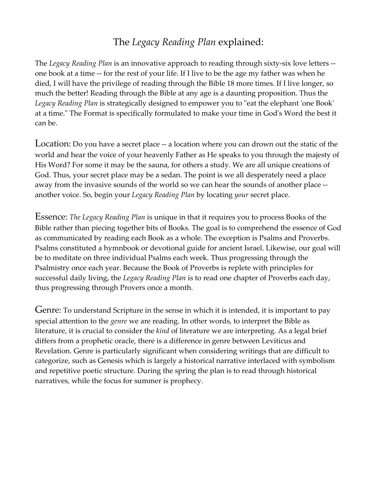## The *Legacy Reading Plan* explained:

The *Legacy Reading Plan* is an innovative approach to reading through sixty-six love letters - one book at a time -- for the rest of your life. If I live to be the age my father was when he died, I will have the privilege of reading through the Bible 18 more times. If I live longer, so much the better! Reading through the Bible at any age is a daunting proposition. Thus the *Legacy Reading Plan* is strategically designed to empower you to "eat the elephant 'one Book' at a time." The Format is specifically formulated to make your time in God's Word the best it can be.

Location: Do you have a secret place -- a location where you can drown out the static of the world and hear the voice of your heavenly Father as He speaks to you through the majesty of His Word? For some it may be the sauna, for others a study. We are all unique creations of God. Thus, your secret place may be a sedan. The point is we all desperately need a place away from the invasive sounds of the world so we can hear the sounds of another place - another voice. So, begin your *Legacy Reading Plan* by locating *your* secret place.

Essence: *The Legacy Reading Plan* is unique in that it requires you to process Books of the Bible rather than piecing together bits of Books. The goal is to comprehend the essence of God as communicated by reading each Book as a whole. The exception is Psalms and Proverbs. Psalms constituted a hymnbook or devotional guide for ancient Israel. Likewise, our goal will be to meditate on three individual Psalms each week. Thus progressing through the Psalmistry once each year. Because the Book of Proverbs is replete with principles for successful daily living, the *Legacy Reading Plan* is to read one chapter of Proverbs each day, thus progressing through Provers once a month.

Genre: To understand Scripture in the sense in which it is intended, it is important to pay special attention to the *genre* we are reading. In other words, to interpret the Bible as literature, it is crucial to consider the *kind* of literature we are interpreting. As a legal brief differs from a prophetic oracle, there is a difference in genre between Leviticus and Revelation. Genre is particularly significant when considering writings that are difficult to categorize, such as Genesis which is largely a historical narrative interlaced with symbolism and repetitive poetic structure. During the spring the plan is to read through historical narratives, while the focus for summer is prophecy.